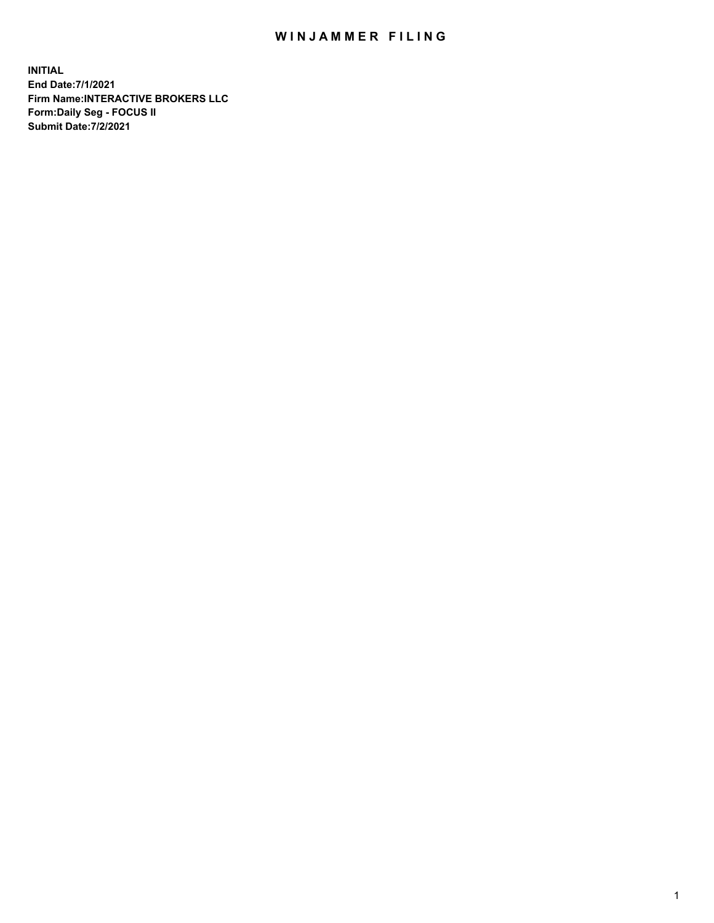## WIN JAMMER FILING

**INITIAL End Date:7/1/2021 Firm Name:INTERACTIVE BROKERS LLC Form:Daily Seg - FOCUS II Submit Date:7/2/2021**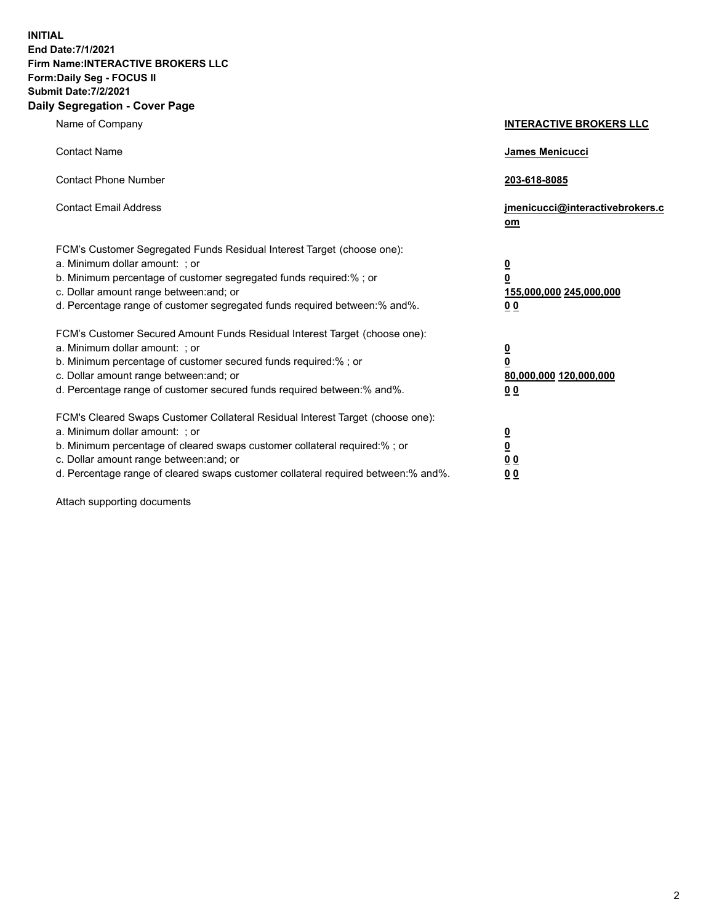**INITIAL End Date:7/1/2021 Firm Name:INTERACTIVE BROKERS LLC Form:Daily Seg - FOCUS II Submit Date:7/2/2021 Daily Segregation - Cover Page**

| Name of Company                                                                                                                                                                                                                                                                                                                | <b>INTERACTIVE BROKERS LLC</b>                                                                  |
|--------------------------------------------------------------------------------------------------------------------------------------------------------------------------------------------------------------------------------------------------------------------------------------------------------------------------------|-------------------------------------------------------------------------------------------------|
| <b>Contact Name</b>                                                                                                                                                                                                                                                                                                            | <b>James Menicucci</b>                                                                          |
| <b>Contact Phone Number</b>                                                                                                                                                                                                                                                                                                    | 203-618-8085                                                                                    |
| <b>Contact Email Address</b>                                                                                                                                                                                                                                                                                                   | jmenicucci@interactivebrokers.c<br>om                                                           |
| FCM's Customer Segregated Funds Residual Interest Target (choose one):<br>a. Minimum dollar amount: ; or<br>b. Minimum percentage of customer segregated funds required:% ; or<br>c. Dollar amount range between: and; or<br>d. Percentage range of customer segregated funds required between:% and%.                         | $\overline{\mathbf{0}}$<br>$\overline{\mathbf{0}}$<br>155,000,000 245,000,000<br>0 <sub>0</sub> |
| FCM's Customer Secured Amount Funds Residual Interest Target (choose one):<br>a. Minimum dollar amount: ; or<br>b. Minimum percentage of customer secured funds required:%; or<br>c. Dollar amount range between: and; or<br>d. Percentage range of customer secured funds required between:% and%.                            | $\overline{\mathbf{0}}$<br>$\mathbf 0$<br>80,000,000 120,000,000<br>0 <sub>0</sub>              |
| FCM's Cleared Swaps Customer Collateral Residual Interest Target (choose one):<br>a. Minimum dollar amount: ; or<br>b. Minimum percentage of cleared swaps customer collateral required:% ; or<br>c. Dollar amount range between: and; or<br>d. Percentage range of cleared swaps customer collateral required between:% and%. | <u>0</u><br>$\underline{\mathbf{0}}$<br>0 <sub>0</sub><br>0 <sub>0</sub>                        |

Attach supporting documents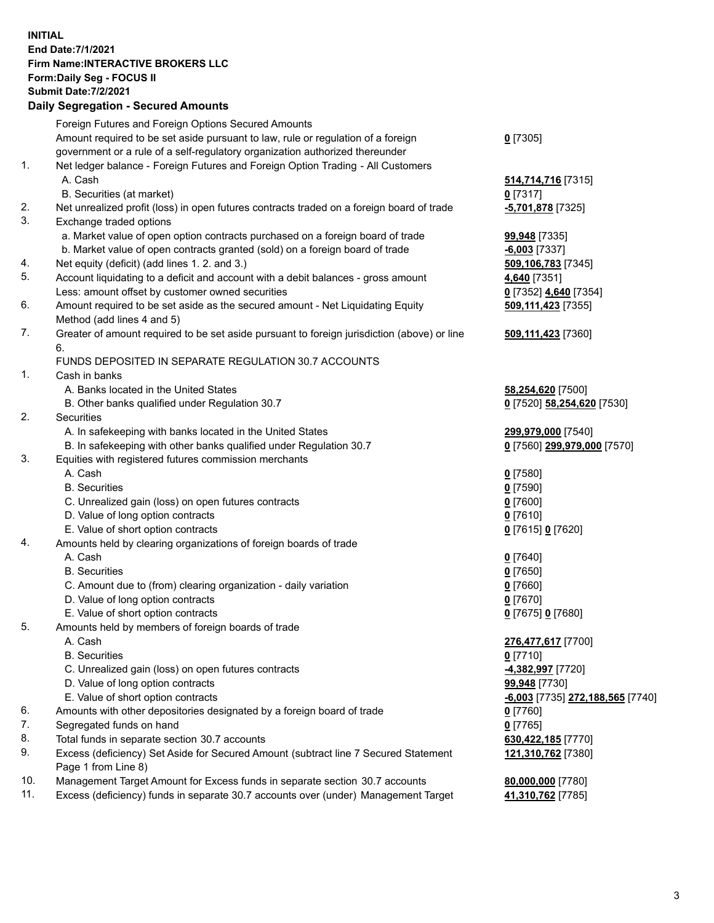**INITIAL End Date:7/1/2021 Firm Name:INTERACTIVE BROKERS LLC Form:Daily Seg - FOCUS II Submit Date:7/2/2021 Daily Segregation - Secured Amounts**

|     | Foreign Futures and Foreign Options Secured Amounts                                         |                                         |
|-----|---------------------------------------------------------------------------------------------|-----------------------------------------|
|     | Amount required to be set aside pursuant to law, rule or regulation of a foreign            | $0$ [7305]                              |
|     | government or a rule of a self-regulatory organization authorized thereunder                |                                         |
| 1.  | Net ledger balance - Foreign Futures and Foreign Option Trading - All Customers             |                                         |
|     | A. Cash                                                                                     | 514,714,716 [7315]                      |
|     | B. Securities (at market)                                                                   | $0$ [7317]                              |
| 2.  | Net unrealized profit (loss) in open futures contracts traded on a foreign board of trade   | -5,701,878 [7325]                       |
| 3.  | Exchange traded options                                                                     |                                         |
|     | a. Market value of open option contracts purchased on a foreign board of trade              | 99,948 [7335]                           |
|     | b. Market value of open contracts granted (sold) on a foreign board of trade                | $-6,003$ [7337]                         |
| 4.  | Net equity (deficit) (add lines 1. 2. and 3.)                                               | 509,106,783 [7345]                      |
| 5.  | Account liquidating to a deficit and account with a debit balances - gross amount           | 4,640 [7351]                            |
|     | Less: amount offset by customer owned securities                                            | 0 [7352] 4,640 [7354]                   |
| 6.  | Amount required to be set aside as the secured amount - Net Liquidating Equity              | 509,111,423 [7355]                      |
|     | Method (add lines 4 and 5)                                                                  |                                         |
| 7.  | Greater of amount required to be set aside pursuant to foreign jurisdiction (above) or line | 509,111,423 [7360]                      |
|     | 6.                                                                                          |                                         |
|     | FUNDS DEPOSITED IN SEPARATE REGULATION 30.7 ACCOUNTS                                        |                                         |
| 1.  | Cash in banks                                                                               |                                         |
|     | A. Banks located in the United States                                                       | 58,254,620 [7500]                       |
|     | B. Other banks qualified under Regulation 30.7                                              | 0 [7520] 58,254,620 [7530]              |
| 2.  | Securities                                                                                  |                                         |
|     | A. In safekeeping with banks located in the United States                                   | 299,979,000 [7540]                      |
|     | B. In safekeeping with other banks qualified under Regulation 30.7                          | 0 [7560] 299,979,000 [7570]             |
| 3.  | Equities with registered futures commission merchants                                       |                                         |
|     | A. Cash                                                                                     | $0$ [7580]                              |
|     | <b>B.</b> Securities                                                                        | $0$ [7590]                              |
|     | C. Unrealized gain (loss) on open futures contracts                                         | $0$ [7600]                              |
|     | D. Value of long option contracts                                                           | $0$ [7610]                              |
|     | E. Value of short option contracts                                                          | 0 [7615] 0 [7620]                       |
| 4.  | Amounts held by clearing organizations of foreign boards of trade                           |                                         |
|     | A. Cash                                                                                     | $0$ [7640]                              |
|     | <b>B.</b> Securities                                                                        | $0$ [7650]                              |
|     | C. Amount due to (from) clearing organization - daily variation                             | $0$ [7660]                              |
|     | D. Value of long option contracts                                                           | $0$ [7670]                              |
|     | E. Value of short option contracts                                                          | 0 [7675] 0 [7680]                       |
| 5.  | Amounts held by members of foreign boards of trade                                          |                                         |
|     | A. Cash                                                                                     | 276,477,617 [7700]                      |
|     | <b>B.</b> Securities                                                                        | $0$ [7710]                              |
|     | C. Unrealized gain (loss) on open futures contracts                                         | 4,382,997 [7720]                        |
|     | D. Value of long option contracts                                                           | 99,948 [7730]                           |
|     | E. Value of short option contracts                                                          | <u>-6,003</u> [7735] 272,188,565 [7740] |
| 6.  | Amounts with other depositories designated by a foreign board of trade                      | $0$ [7760]                              |
| 7.  | Segregated funds on hand                                                                    | $0$ [7765]                              |
| 8.  | Total funds in separate section 30.7 accounts                                               | 630,422,185 [7770]                      |
| 9.  | Excess (deficiency) Set Aside for Secured Amount (subtract line 7 Secured Statement         | 121,310,762 <sup>[7380]</sup>           |
|     | Page 1 from Line 8)                                                                         |                                         |
| 10. | Management Target Amount for Excess funds in separate section 30.7 accounts                 | 80,000,000 [7780]                       |
| 11. | Excess (deficiency) funds in separate 30.7 accounts over (under) Management Target          | 41,310,762 [7785]                       |
|     |                                                                                             |                                         |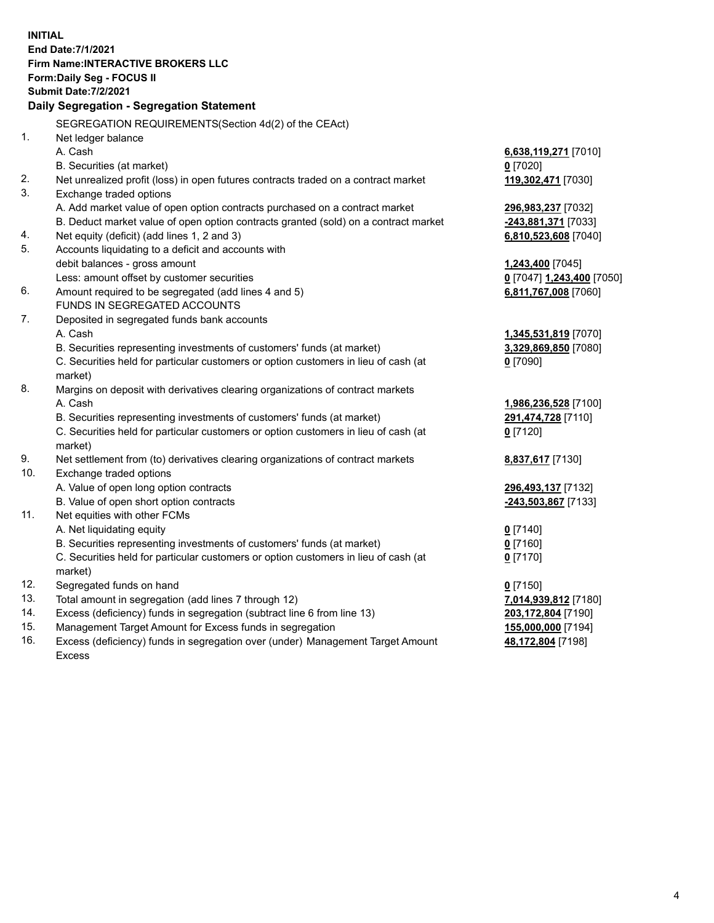**INITIAL End Date:7/1/2021 Firm Name:INTERACTIVE BROKERS LLC Form:Daily Seg - FOCUS II Submit Date:7/2/2021 Daily Segregation - Segregation Statement** SEGREGATION REQUIREMENTS(Section 4d(2) of the CEAct) 1. Net ledger balance A. Cash **6,638,119,271** [7010] B. Securities (at market) **0** [7020] 2. Net unrealized profit (loss) in open futures contracts traded on a contract market **119,302,471** [7030] 3. Exchange traded options A. Add market value of open option contracts purchased on a contract market **296,983,237** [7032] B. Deduct market value of open option contracts granted (sold) on a contract market **-243,881,371** [7033] 4. Net equity (deficit) (add lines 1, 2 and 3) **6,810,523,608** [7040] 5. Accounts liquidating to a deficit and accounts with debit balances - gross amount **1,243,400** [7045] Less: amount offset by customer securities **0** [7047] **1,243,400** [7050] 6. Amount required to be segregated (add lines 4 and 5) **6,811,767,008** [7060] FUNDS IN SEGREGATED ACCOUNTS 7. Deposited in segregated funds bank accounts A. Cash **1,345,531,819** [7070] B. Securities representing investments of customers' funds (at market) **3,329,869,850** [7080] C. Securities held for particular customers or option customers in lieu of cash (at market) **0** [7090] 8. Margins on deposit with derivatives clearing organizations of contract markets A. Cash **1,986,236,528** [7100] B. Securities representing investments of customers' funds (at market) **291,474,728** [7110] C. Securities held for particular customers or option customers in lieu of cash (at market) **0** [7120] 9. Net settlement from (to) derivatives clearing organizations of contract markets **8,837,617** [7130] 10. Exchange traded options A. Value of open long option contracts **296,493,137** [7132] B. Value of open short option contracts **-243,503,867** [7133] 11. Net equities with other FCMs A. Net liquidating equity **0** [7140] B. Securities representing investments of customers' funds (at market) **0** [7160] C. Securities held for particular customers or option customers in lieu of cash (at market) **0** [7170] 12. Segregated funds on hand **0** [7150] 13. Total amount in segregation (add lines 7 through 12) **7,014,939,812** [7180] 14. Excess (deficiency) funds in segregation (subtract line 6 from line 13) **203,172,804** [7190] 15. Management Target Amount for Excess funds in segregation **155,000,000** [7194]

16. Excess (deficiency) funds in segregation over (under) Management Target Amount Excess

**48,172,804** [7198]